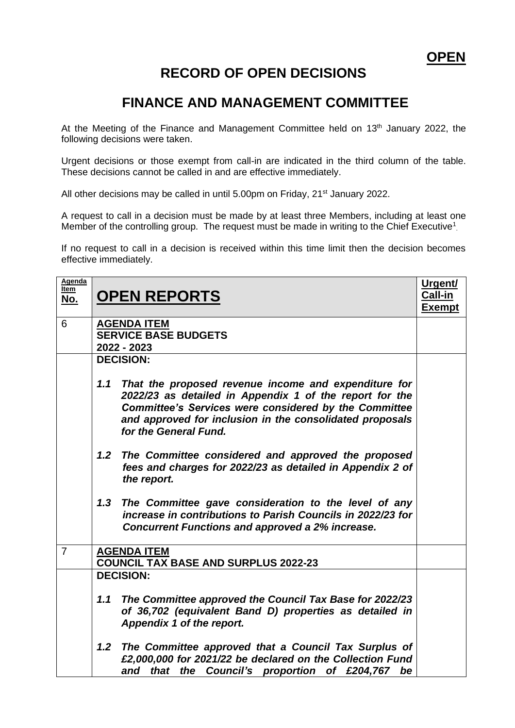## **RECORD OF OPEN DECISIONS**

## **FINANCE AND MANAGEMENT COMMITTEE**

At the Meeting of the Finance and Management Committee held on  $13<sup>th</sup>$  January 2022, the following decisions were taken.

Urgent decisions or those exempt from call-in are indicated in the third column of the table. These decisions cannot be called in and are effective immediately.

All other decisions may be called in until 5.00pm on Friday, 21<sup>st</sup> January 2022.

A request to call in a decision must be made by at least three Members, including at least one Member of the controlling group. The request must be made in writing to the Chief Executive<sup>1</sup>.

If no request to call in a decision is received within this time limit then the decision becomes effective immediately.

| Agenda<br><u>Item</u><br><u>No.</u> | <b>OPEN REPORTS</b>                                                                                                                                                                                                                                                         | Urgent/<br>Call-in<br><b>Exempt</b> |
|-------------------------------------|-----------------------------------------------------------------------------------------------------------------------------------------------------------------------------------------------------------------------------------------------------------------------------|-------------------------------------|
| 6                                   | <b>AGENDA ITEM</b><br><b>SERVICE BASE BUDGETS</b><br>2022 - 2023                                                                                                                                                                                                            |                                     |
|                                     | <b>DECISION:</b>                                                                                                                                                                                                                                                            |                                     |
|                                     | 1.1<br>That the proposed revenue income and expenditure for<br>2022/23 as detailed in Appendix 1 of the report for the<br><b>Committee's Services were considered by the Committee</b><br>and approved for inclusion in the consolidated proposals<br>for the General Fund. |                                     |
|                                     | The Committee considered and approved the proposed<br>1.2 <sub>2</sub><br>fees and charges for 2022/23 as detailed in Appendix 2 of<br>the report.                                                                                                                          |                                     |
|                                     | The Committee gave consideration to the level of any<br>1.3<br>increase in contributions to Parish Councils in 2022/23 for<br><b>Concurrent Functions and approved a 2% increase.</b>                                                                                       |                                     |
| $\overline{7}$                      | <b>AGENDA ITEM</b><br><b>COUNCIL TAX BASE AND SURPLUS 2022-23</b>                                                                                                                                                                                                           |                                     |
|                                     | <b>DECISION:</b>                                                                                                                                                                                                                                                            |                                     |
|                                     | The Committee approved the Council Tax Base for 2022/23<br>1.1<br>of 36,702 (equivalent Band D) properties as detailed in<br>Appendix 1 of the report.                                                                                                                      |                                     |
|                                     | The Committee approved that a Council Tax Surplus of<br>1.2 <sub>2</sub><br>£2,000,000 for 2021/22 be declared on the Collection Fund<br>that<br>the Council's proportion of £204,767 be<br>and                                                                             |                                     |